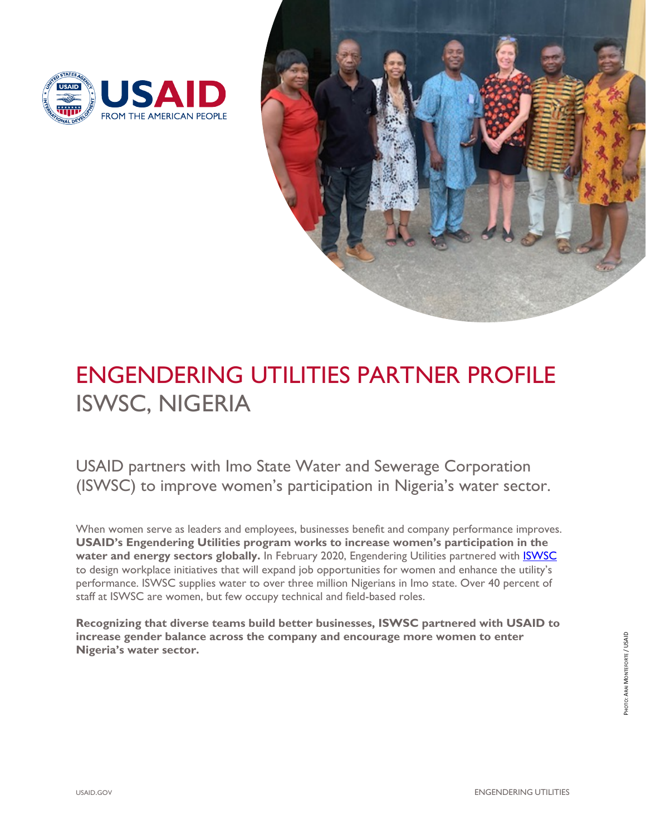



# ENGENDERING UTILITIES PARTNER PROFILE ISWSC, NIGERIA

USAID partners with Imo State Water and Sewerage Corporation (ISWSC) to improve women's participation in Nigeria's water sector.

When women serve as leaders and employees, businesses benefit and company performance improves. **USAID's Engendering Utilities program works to increase women's participation in the**  water and energy sectors globally. In February 2020, Engendering Utilities partnered with **ISWSC** to design workplace initiatives that will expand job opportunities for women and enhance the utility's performance. ISWSC supplies water to over three million Nigerians in Imo state. Over 40 percent of staff at ISWSC are women, but few occupy technical and field-based roles.

**Recognizing that diverse teams build better businesses, ISWSC partnered with USAID to increase gender balance across the company and encourage more women to enter Nigeria's water sector.**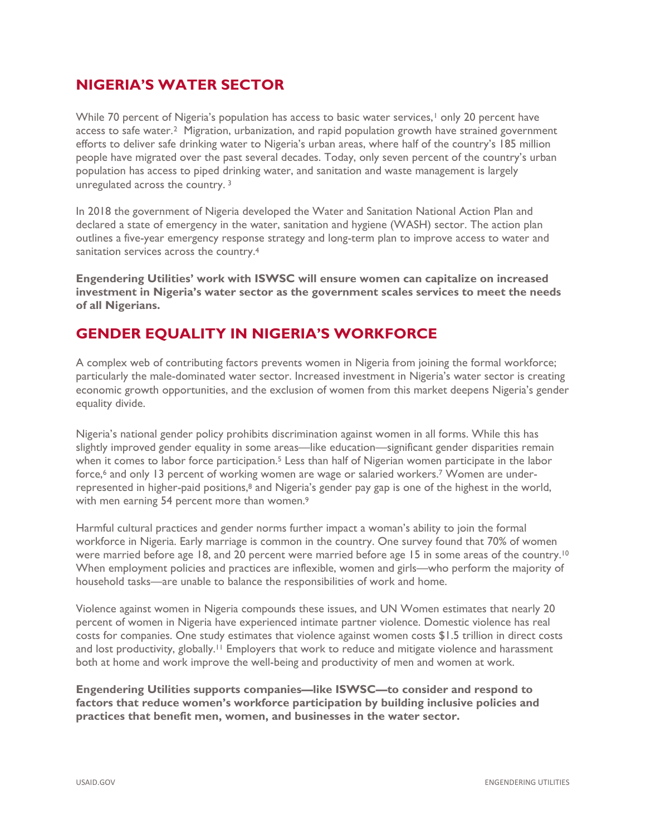### **NIGERIA'S WATER SECTOR**

While 70 percent of Nigeria's population has access to basic water services,<sup>[1](#page-3-0)</sup> only 20 percent have access to safe water.[2](#page-3-1) Migration, urbanization, and rapid population growth have strained government efforts to deliver safe drinking water to Nigeria's urban areas, where half of the country's 185 million people have migrated over the past several decades. Today, only seven percent of the country's urban population has access to piped drinking water, and sanitation and waste management is largely unregulated across the country. [3](#page-3-2)

In 2018 the government of Nigeria developed the Water and Sanitation National Action Plan and declared a state of emergency in the water, sanitation and hygiene (WASH) sector. The action plan outlines a five-year emergency response strategy and long-term plan to improve access to water and sanitation services across the country.[4](#page-3-3)

**Engendering Utilities' work with ISWSC will ensure women can capitalize on increased investment in Nigeria's water sector as the government scales services to meet the needs of all Nigerians.**

# **GENDER EQUALITY IN NIGERIA'S WORKFORCE**

A complex web of contributing factors prevents women in Nigeria from joining the formal workforce; particularly the male-dominated water sector. Increased investment in Nigeria's water sector is creating economic growth opportunities, and the exclusion of women from this market deepens Nigeria's gender equality divide.

Nigeria's national gender policy prohibits discrimination against women in all forms. While this has slightly improved gender equality in some areas—like education—significant gender disparities remain when it comes to labor force participation.<sup>[5](#page-3-4)</sup> Less than half of Nigerian women participate in the labor force,<sup>[6](#page-3-5)</sup> and only 13 percent of working women are wage or salaried workers.<sup>[7](#page-3-6)</sup> Women are under-represented in higher-paid positions,<sup>[8](#page-3-7)</sup> and Nigeria's gender pay gap is one of the highest in the world, with men earning 54 percent more than women.<sup>[9](#page-3-8)</sup>

Harmful cultural practices and gender norms further impact a woman's ability to join the formal workforce in Nigeria. Early marriage is common in the country. One survey found that 70% of women were married before age 18, and 20 percent were married before age 15 in some areas of the country.<sup>[10](#page-3-9)</sup> When employment policies and practices are inflexible, women and girls—who perform the majority of household tasks—are unable to balance the responsibilities of work and home.

Violence against women in Nigeria compounds these issues, and UN Women estimates that nearly 20 percent of women in Nigeria have experienced intimate partner violence. Domestic violence has real costs for companies. One study estimates that violence against women costs \$1.5 trillion in direct costs and lost productivity, globally.<sup>[11](#page-3-10)</sup> Employers that work to reduce and mitigate violence and harassment both at home and work improve the well-being and productivity of men and women at work.

**Engendering Utilities supports companies—like ISWSC—to consider and respond to factors that reduce women's workforce participation by building inclusive policies and practices that benefit men, women, and businesses in the water sector.**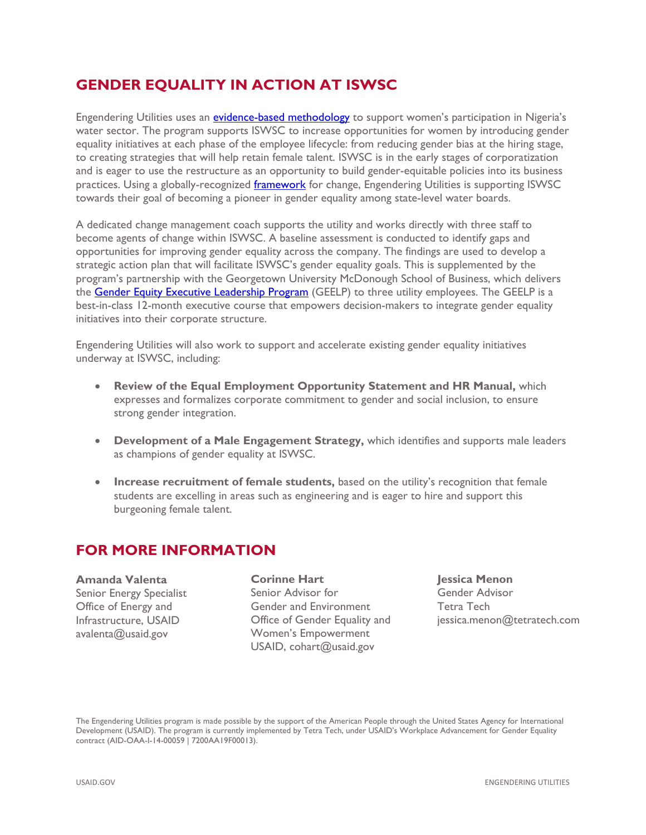## **GENDER EQUALITY IN ACTION AT ISWSC**

Engendering Utilities uses an [evidence-based methodology](https://www.usaid.gov/energy/engendering-utilities/gender-equality-best-practices-framework) to support women's participation in Nigeria's water sector. The program supports ISWSC to increase opportunities for women by introducing gender equality initiatives at each phase of the employee lifecycle: from reducing gender bias at the hiring stage, to creating strategies that will help retain female talent. ISWSC is in the early stages of corporatization and is eager to use the restructure as an opportunity to build gender-equitable policies into its business practices. Using a globally-recognized *framework* for change, Engendering Utilities is supporting ISWSC towards their goal of becoming a pioneer in gender equality among state-level water boards.

A dedicated change management coach supports the utility and works directly with three staff to become agents of change within ISWSC. A baseline assessment is conducted to identify gaps and opportunities for improving gender equality across the company. The findings are used to develop a strategic action plan that will facilitate ISWSC's gender equality goals. This is supplemented by the program's partnership with the Georgetown University McDonough School of Business, which delivers the [Gender Equity Executive Leadership Program](https://www.usaid.gov/energy/engendering-utilities/leadership-program) (GEELP) to three utility employees. The GEELP is a best-in-class 12-month executive course that empowers decision-makers to integrate gender equality initiatives into their corporate structure.

Engendering Utilities will also work to support and accelerate existing gender equality initiatives underway at ISWSC, including:

- **Review of the Equal Employment Opportunity Statement and HR Manual,** which expresses and formalizes corporate commitment to gender and social inclusion, to ensure strong gender integration.
- **Development of a Male Engagement Strategy,** which identifies and supports male leaders as champions of gender equality at ISWSC.
- **Increase recruitment of female students,** based on the utility's recognition that female students are excelling in areas such as engineering and is eager to hire and support this burgeoning female talent.

#### **FOR MORE INFORMATION**

**Amanda Valenta** Senior Energy Specialist Office of Energy and Infrastructure, USAID [avalenta@usaid.gov](mailto:avalenta@usaid.gov) 

**Corinne Hart** Senior Advisor for Gender and Environment Office of Gender Equality and Women's Empowerment USAID, [cohart@](mailto:cohart@usaid.gov)usaid.gov

**Jessica Menon** Gender Advisor Tetra Tech jessica.menon@tetratech.com

The Engendering Utilities program is made possible by the support of the American People through the United States Agency for International Development (USAID). The program is currently implemented by Tetra Tech, under USAID's Workplace Advancement for Gender Equality contract (AID-OAA-I-14-00059 | 7200AA19F00013).